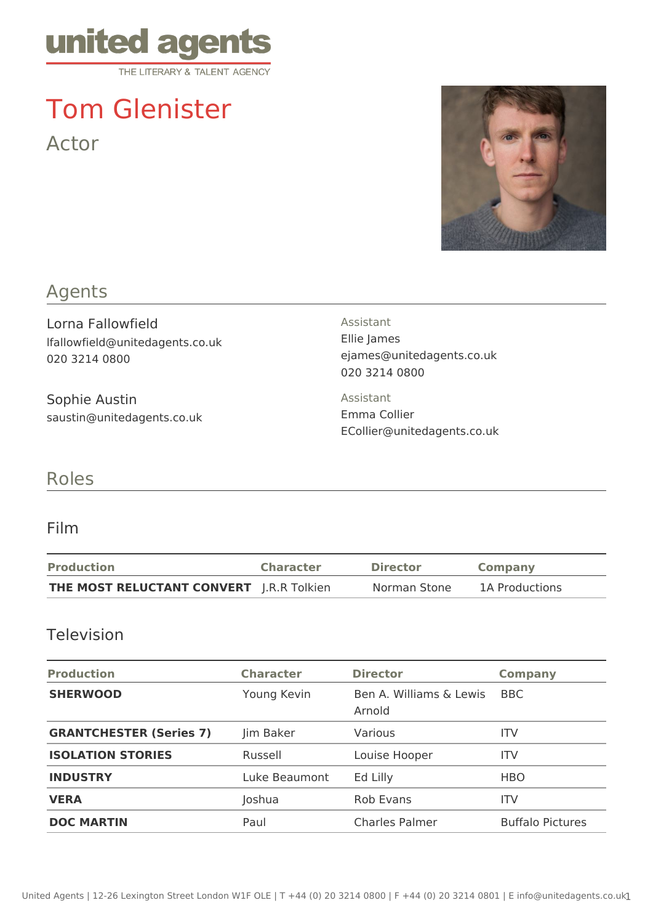

# Tom Glenister Actor



## Agents

Lorna Fallowfield lfallowfield@unitedagents.co.uk 020 3214 0800

Sophie Austin saustin@unitedagents.co.uk Assistant Ellie James ejames@unitedagents.co.uk 020 3214 0800

Assistant Emma Collier ECollier@unitedagents.co.uk

## Roles

#### Film

| <b>Production</b>                               | <b>Character</b> | Director     | <b>Company</b> |
|-------------------------------------------------|------------------|--------------|----------------|
| <b>THE MOST RELUCTANT CONVERT</b> J.R.R Tolkien |                  | Norman Stone | 1A Productions |

#### Television

| <b>Production</b>              | <b>Character</b> | <b>Director</b>                   | <b>Company</b>          |
|--------------------------------|------------------|-----------------------------------|-------------------------|
| <b>SHERWOOD</b>                | Young Kevin      | Ben A. Williams & Lewis<br>Arnold | <b>BBC</b>              |
| <b>GRANTCHESTER (Series 7)</b> | Jim Baker        | Various                           | ITV                     |
| <b>ISOLATION STORIES</b>       | Russell          | Louise Hooper                     | ITV                     |
| <b>INDUSTRY</b>                | Luke Beaumont    | Ed Lilly                          | <b>HBO</b>              |
| <b>VERA</b>                    | Joshua           | Rob Evans                         | ITV                     |
| <b>DOC MARTIN</b>              | Paul             | <b>Charles Palmer</b>             | <b>Buffalo Pictures</b> |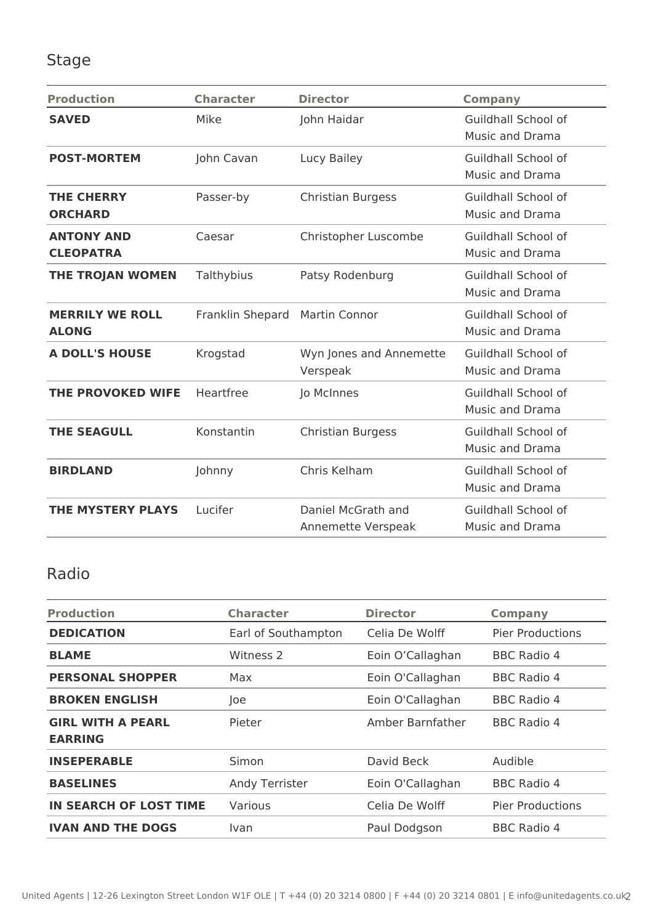## Stage

| <b>Production</b>                      | <b>Character</b> | <b>Director</b>                          | <b>Company</b>                                |
|----------------------------------------|------------------|------------------------------------------|-----------------------------------------------|
| <b>SAVED</b>                           | Mike             | John Haidar                              | Guildhall School of<br><b>Music and Drama</b> |
| <b>POST-MORTEM</b>                     | John Cavan       | Lucy Bailey                              | Guildhall School of<br>Music and Drama        |
| <b>THE CHERRY</b><br><b>ORCHARD</b>    | Passer-by        | <b>Christian Burgess</b>                 | Guildhall School of<br>Music and Drama        |
| <b>ANTONY AND</b><br><b>CLEOPATRA</b>  | Caesar           | Christopher Luscombe                     | Guildhall School of<br>Music and Drama        |
| <b>THE TROJAN WOMEN</b>                | Talthybius       | Patsy Rodenburg                          | Guildhall School of<br>Music and Drama        |
| <b>MERRILY WE ROLL</b><br><b>ALONG</b> | Franklin Shepard | <b>Martin Connor</b>                     | Guildhall School of<br>Music and Drama        |
| <b>A DOLL'S HOUSE</b>                  | Krogstad         | Wyn Jones and Annemette<br>Verspeak      | Guildhall School of<br><b>Music and Drama</b> |
| <b>THE PROVOKED WIFE</b>               | Heartfree        | Jo McInnes                               | Guildhall School of<br>Music and Drama        |
| <b>THE SEAGULL</b>                     | Konstantin       | <b>Christian Burgess</b>                 | Guildhall School of<br>Music and Drama        |
| <b>BIRDLAND</b>                        | Johnny           | Chris Kelham                             | Guildhall School of<br>Music and Drama        |
| <b>THE MYSTERY PLAYS</b>               | Lucifer          | Daniel McGrath and<br>Annemette Verspeak | Guildhall School of<br>Music and Drama        |

## Radio

| <b>Production</b>                          | <b>Character</b>    | <b>Director</b>  | <b>Company</b>          |
|--------------------------------------------|---------------------|------------------|-------------------------|
| <b>DEDICATION</b>                          | Earl of Southampton | Celia De Wolff   | <b>Pier Productions</b> |
| <b>BLAME</b>                               | Witness 2           | Eoin O'Callaghan | <b>BBC Radio 4</b>      |
| <b>PERSONAL SHOPPER</b>                    | Max                 | Eoin O'Callaghan | BBC Radio 4             |
| <b>BROKEN ENGLISH</b>                      | loe                 | Eoin O'Callaghan | <b>BBC Radio 4</b>      |
| <b>GIRL WITH A PEARL</b><br><b>EARRING</b> | Pieter              | Amber Barnfather | BBC Radio 4             |
| <b>INSEPERABLE</b>                         | Simon               | David Beck       | Audible                 |
| <b>BASELINES</b>                           | Andy Terrister      | Eoin O'Callaghan | <b>BBC Radio 4</b>      |
| <b>IN SEARCH OF LOST TIME</b>              | Various             | Celia De Wolff   | <b>Pier Productions</b> |
| <b>IVAN AND THE DOGS</b>                   | Ivan                | Paul Dodgson     | <b>BBC Radio 4</b>      |